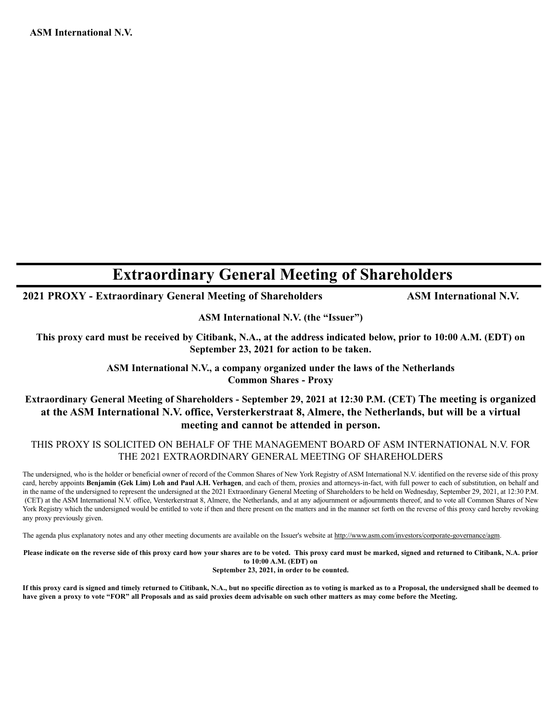# **Extraordinary General Meeting of Shareholders**

**2021 PROXY - Extraordinary General Meeting of Shareholders ASM International N.V.** 

**ASM International N.V. (the "Issuer")**

**This proxy card must be received by Citibank, N.A., at the address indicated below, prior to 10:00 A.M. (EDT) on September 23, 2021 for action to be taken.**

> **ASM International N.V., a company organized under the laws of the Netherlands Common Shares - Proxy**

## **Extraordinary General Meeting of Shareholders - September 29, 2021 at 12:30 P.M. (CET) The meeting is organized at the ASM International N.V. office, Versterkerstraat 8, Almere, the Netherlands, but will be a virtual meeting and cannot be attended in person.**

### THIS PROXY IS SOLICITED ON BEHALF OF THE MANAGEMENT BOARD OF ASM INTERNATIONAL N.V. FOR THE 2021 EXTRAORDINARY GENERAL MEETING OF SHAREHOLDERS

The undersigned, who is the holder or beneficial owner of record of the Common Shares of New York Registry of ASM International N.V. identified on the reverse side of this proxy card, hereby appoints **Benjamin (Gek Lim) Loh and Paul A.H. Verhagen**, and each of them, proxies and attorneys-in-fact, with full power to each of substitution, on behalf and in the name of the undersigned to represent the undersigned at the 2021 Extraordinary General Meeting of Shareholders to be held on Wednesday, September 29, 2021, at 12:30 P.M. (CET) at the ASM International N.V. office, Versterkerstraat 8, Almere, the Netherlands, and at any adjournment or adjournments thereof, and to vote all Common Shares of New York Registry which the undersigned would be entitled to vote if then and there present on the matters and in the manner set forth on the reverse of this proxy card hereby revoking any proxy previously given.

The agenda plus explanatory notes and any other meeting documents are available on the Issuer's website at http://www.asm.com/investors/corporate-governance/agm.

**Please indicate on the reverse side of this proxy card how your shares are to be voted. This proxy card must be marked, signed and returned to Citibank, N.A. prior to 10:00 A.M. (EDT) on**

**September 23, 2021, in order to be counted.**

**If this proxy card is signed and timely returned to Citibank, N.A., but no specific direction as to voting is marked as to a Proposal, the undersigned shall be deemed to have given a proxy to vote "FOR" all Proposals and as said proxies deem advisable on such other matters as may come before the Meeting.**